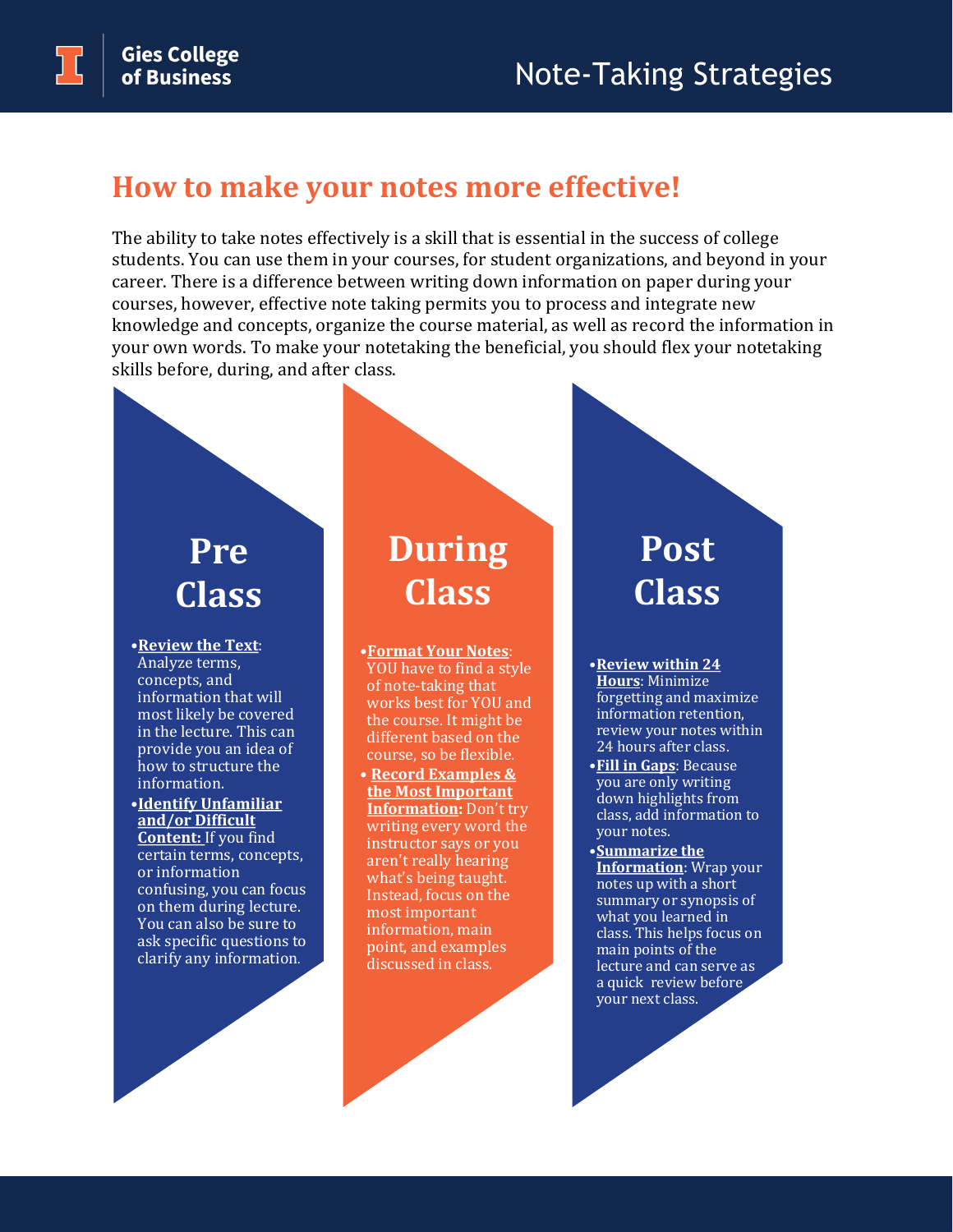#### **How to make your notes more effective!**

The ability to take notes effectively is a skill that is essential in the success of college students. You can use them in your courses, for student organizations, and beyond in your career. There is a difference between writing down information on paper during your courses, however, effective note taking permits you to process and integrate new knowledge and concepts, organize the course material, as well as record the information in your own words. To make your notetaking the beneficial, you should flex your notetaking skills before, during, and after class.

## **Pre Class**

•**Review the Text**: Analyze terms, concepts, and information that will most likely be covered in the lecture. This can provide you an idea of how to structure the information.

•**Identify Unfamiliar and/or Difficult Content:** If you find certain terms, concepts, or information confusing, you can focus on them during lecture. You can also be sure to ask specific questions to clarify any information.

### **During Class**

- •**Format Your Notes**: YOU have to find a style of note-taking that works best for YOU and the course. It might be different based on the course, so be flexible.
- **Record Examples & the Most Important Information:** Don't try writing every word the instructor says or you aren't really hearing what's being taught. Instead, focus on the most important information, main point, and examples discussed in class.

#### **Post Class**

•**Review within 24 Hours**: Minimize forgetting and maximize information retention, review your notes within 24 hours after class.

- •**Fill in Gaps**: Because you are only writing down highlights from class, add information to your notes.
- •**Summarize the Information**: Wrap your notes up with a short summary or synopsis of what you learned in class. This helps focus on main points of the lecture and can serve as a quick review before your next class.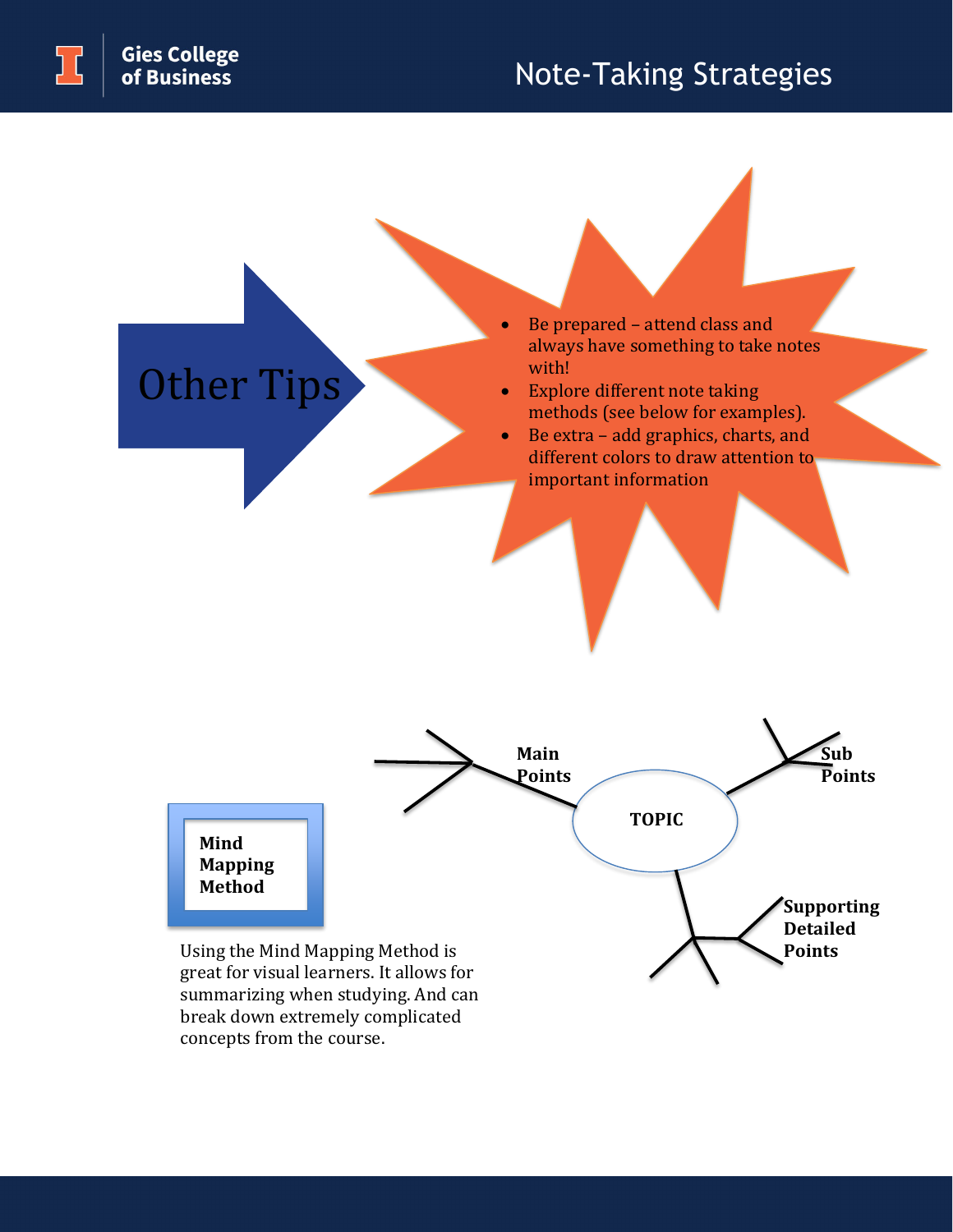Other Tips

# Note-Taking Strategies

Be prepared - attend class and always have something to take notes with!

- Explore different note taking methods (see below for examples).
- Be extra add graphics, charts, and different colors to draw attention to important information



concepts from the course.